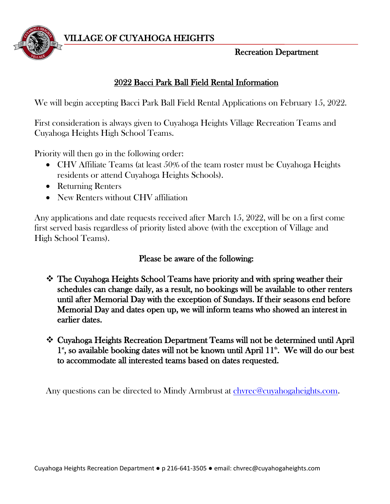

VILLAGE OF CUYAHOGA HEIGHTS

## Recreation Department

## 2022 Bacci Park Ball Field Rental Information

We will begin accepting Bacci Park Ball Field Rental Applications on February 15, 2022.

First consideration is always given to Cuyahoga Heights Village Recreation Teams and Cuyahoga Heights High School Teams.

Priority will then go in the following order:

- CHV Affiliate Teams (at least 50% of the team roster must be Cuyahoga Heights residents or attend Cuyahoga Heights Schools).
- Returning Renters
- New Renters without CHV affiliation

Any applications and date requests received after March 15, 2022, will be on a first come first served basis regardless of priority listed above (with the exception of Village and High School Teams).

## Please be aware of the following:

- The Cuyahoga Heights School Teams have priority and with spring weather their schedules can change daily, as a result, no bookings will be available to other renters until after Memorial Day with the exception of Sundays. If their seasons end before Memorial Day and dates open up, we will inform teams who showed an interest in earlier dates.
- Cuyahoga Heights Recreation Department Teams will not be determined until April  $1^*$ , so available booking dates will not be known until April  $11^*$ . We will do our best to accommodate all interested teams based on dates requested.

Any questions can be directed to Mindy Armbrust at [chvrec@cuyahogaheights.com.](mailto:chvrec@cuyahogaheights.com)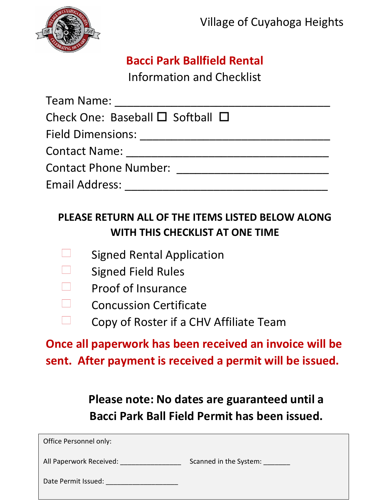

# **Bacci Park Ballfield Rental**

Information and Checklist

Team Name: \_\_\_\_\_\_\_\_\_\_\_\_\_\_\_\_\_\_\_\_\_\_\_\_\_\_\_\_\_\_\_\_\_\_ Check One: Baseball  $\square$  Softball  $\square$ Field Dimensions: \_\_\_\_\_\_\_\_\_\_\_\_\_\_\_\_\_\_\_\_\_\_\_\_\_\_\_\_\_\_ Contact Name: \_\_\_\_\_\_\_\_\_\_\_\_\_\_\_\_\_\_\_\_\_\_\_\_\_\_\_\_\_\_\_\_ Contact Phone Number: \_\_\_\_\_\_\_\_\_\_\_\_\_\_\_\_\_\_\_\_\_\_\_\_ Email Address: \_\_\_\_\_\_\_\_\_\_\_\_\_\_\_\_\_\_\_\_\_\_\_\_\_\_\_\_\_\_\_\_

# **PLEASE RETURN ALL OF THE ITEMS LISTED BELOW ALONG WITH THIS CHECKLIST AT ONE TIME**

- Signed Rental Application
- Signed Field Rules
- Proof of Insurance
- $\Box$ Concussion Certificate
- Copy of Roster if a CHV Affiliate Team

**Once all paperwork has been received an invoice will be sent. After payment is received a permit will be issued.**

> **Please note: No dates are guaranteed until a Bacci Park Ball Field Permit has been issued.**

| Office Personnel only:  |                        |
|-------------------------|------------------------|
| All Paperwork Received: | Scanned in the System: |
| Date Permit Issued:     |                        |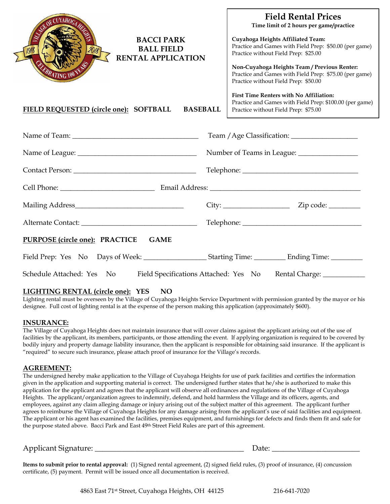| <b>Field Rental Prices</b><br>Time limit of 2 hours per game/practice<br>Cuyahoga Heights Affiliated Team:<br>Practice and Games with Field Prep: \$50.00 (per game)<br>Practice without Field Prep: \$25.00<br>Non-Cuyahoga Heights Team / Previous Renter:<br>Practice and Games with Field Prep: \$75.00 (per game)<br>Practice without Field Prep: \$50.00 |
|----------------------------------------------------------------------------------------------------------------------------------------------------------------------------------------------------------------------------------------------------------------------------------------------------------------------------------------------------------------|
| <b>First Time Renters with No Affiliation:</b><br>Practice and Games with Field Prep: \$100.00 (per game)<br>Practice without Field Prep: \$75.00                                                                                                                                                                                                              |
|                                                                                                                                                                                                                                                                                                                                                                |
|                                                                                                                                                                                                                                                                                                                                                                |
|                                                                                                                                                                                                                                                                                                                                                                |
|                                                                                                                                                                                                                                                                                                                                                                |
|                                                                                                                                                                                                                                                                                                                                                                |
|                                                                                                                                                                                                                                                                                                                                                                |
|                                                                                                                                                                                                                                                                                                                                                                |
|                                                                                                                                                                                                                                                                                                                                                                |
| Schedule Attached: Yes No Field Specifications Attached: Yes No Rental Charge: _________                                                                                                                                                                                                                                                                       |
| <b>RENTAL APPLICATION</b><br><b>BASEBALL</b>                                                                                                                                                                                                                                                                                                                   |

#### **LIGHTING RENTAL (circle one): YES NO**

Lighting rental must be overseen by the Village of Cuyahoga Heights Service Department with permission granted by the mayor or his designee. Full cost of lighting rental is at the expense of the person making this application (approximately \$600).

#### **INSURANCE:**

The Village of Cuyahoga Heights does not maintain insurance that will cover claims against the applicant arising out of the use of facilities by the applicant, its members, participants, or those attending the event. If applying organization is required to be covered by bodily injury and property damage liability insurance, then the applicant is responsible for obtaining said insurance. If the applicant is "required" to secure such insurance, please attach proof of insurance for the Village's records.

#### **AGREEMENT:**

The undersigned hereby make application to the Village of Cuyahoga Heights for use of park facilities and certifies the information given in the application and supporting material is correct. The undersigned further states that he/she is authorized to make this application for the applicant and agrees that the applicant will observe all ordinances and regulations of the Village of Cuyahoga Heights. The applicant/organization agrees to indemnify, defend, and hold harmless the Village and its officers, agents, and employees, against any claim alleging damage or injury arising out of the subject matter of this agreement. The applicant further agrees to reimburse the Village of Cuyahoga Heights for any damage arising from the applicant's use of said facilities and equipment. The applicant or his agent has examined the facilities, premises equipment, and furnishings for defects and finds them fit and safe for the purpose stated above. Bacci Park and East 49th Street Field Rules are part of this agreement.

Applicant Signature: \_\_\_\_\_\_\_\_\_\_\_\_\_\_\_\_\_\_\_\_\_\_\_\_\_\_\_\_\_\_\_\_\_\_\_\_\_\_\_ Date: \_\_\_\_\_\_\_\_\_\_\_\_\_\_\_\_\_\_\_\_\_\_\_

**Items to submit prior to rental approval:** (1) Signed rental agreement, (2) signed field rules, (3) proof of insurance, (4) concussion certificate, (5) payment. Permit will be issued once all documentation is received.